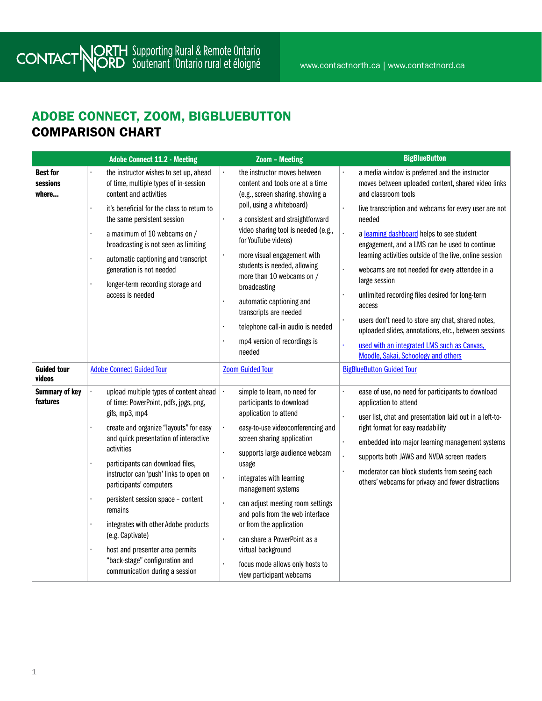#### ADOBE CONNECT, ZOOM, BIGBLUEBUTTON COMPARISON CHART

|                                      | <b>Adobe Connect 11.2 - Meeting</b>                                                                                                                                                                                                                                                                                                                                                                                                                                                                                                                    | <b>Zoom - Meeting</b>                                                                                                                                                                                                                                                                                                                                                                                                                                                                             | <b>BigBlueButton</b>                                                                                                                                                                                                                                                                                                                                                                                                                                                                                                                                        |
|--------------------------------------|--------------------------------------------------------------------------------------------------------------------------------------------------------------------------------------------------------------------------------------------------------------------------------------------------------------------------------------------------------------------------------------------------------------------------------------------------------------------------------------------------------------------------------------------------------|---------------------------------------------------------------------------------------------------------------------------------------------------------------------------------------------------------------------------------------------------------------------------------------------------------------------------------------------------------------------------------------------------------------------------------------------------------------------------------------------------|-------------------------------------------------------------------------------------------------------------------------------------------------------------------------------------------------------------------------------------------------------------------------------------------------------------------------------------------------------------------------------------------------------------------------------------------------------------------------------------------------------------------------------------------------------------|
| <b>Best for</b><br>sessions<br>where | the instructor wishes to set up, ahead<br>of time, multiple types of in-session<br>content and activities                                                                                                                                                                                                                                                                                                                                                                                                                                              | the instructor moves between<br>content and tools one at a time<br>(e.g., screen sharing, showing a                                                                                                                                                                                                                                                                                                                                                                                               | a media window is preferred and the instructor<br>moves between uploaded content, shared video links<br>and classroom tools                                                                                                                                                                                                                                                                                                                                                                                                                                 |
|                                      | it's beneficial for the class to return to<br>÷,<br>the same persistent session<br>a maximum of 10 webcams on /<br>broadcasting is not seen as limiting<br>automatic captioning and transcript<br>ï<br>generation is not needed<br>longer-term recording storage and<br>access is needed                                                                                                                                                                                                                                                               | poll, using a whiteboard)<br>a consistent and straightforward<br>video sharing tool is needed (e.g.,<br>for YouTube videos)<br>more visual engagement with<br>students is needed, allowing<br>more than 10 webcams on /<br>broadcasting<br>automatic captioning and<br>transcripts are needed<br>telephone call-in audio is needed<br>mp4 version of recordings is<br>needed                                                                                                                      | live transcription and webcams for every user are not<br>needed<br>a learning dashboard helps to see student<br>engagement, and a LMS can be used to continue<br>learning activities outside of the live, online session<br>webcams are not needed for every attendee in a<br>large session<br>unlimited recording files desired for long-term<br>access<br>users don't need to store any chat, shared notes,<br>uploaded slides, annotations, etc., between sessions<br>used with an integrated LMS such as Canvas,<br>Moodle, Sakai, Schoology and others |
| <b>Guided tour</b><br>videos         | <b>Adobe Connect Guided Tour</b>                                                                                                                                                                                                                                                                                                                                                                                                                                                                                                                       | <b>Zoom Guided Tour</b>                                                                                                                                                                                                                                                                                                                                                                                                                                                                           | <b>BigBlueButton Guided Tour</b>                                                                                                                                                                                                                                                                                                                                                                                                                                                                                                                            |
| <b>Summary of key</b><br>features    | upload multiple types of content ahead<br>of time: PowerPoint, pdfs, jpgs, png,<br>gifs, mp3, mp4<br>create and organize "layouts" for easy<br>and quick presentation of interactive<br>activities<br>participants can download files,<br>instructor can 'push' links to open on<br>participants' computers<br>persistent session space - content<br>ï<br>remains<br>$\blacksquare$<br>integrates with other Adobe products<br>(e.g. Captivate)<br>host and presenter area permits<br>"back-stage" configuration and<br>communication during a session | l,<br>simple to learn, no need for<br>participants to download<br>application to attend<br>$\epsilon$<br>easy-to-use videoconferencing and<br>screen sharing application<br>supports large audience webcam<br>usage<br>ï<br>integrates with learning<br>management systems<br>can adjust meeting room settings<br>and polls from the web interface<br>or from the application<br>can share a PowerPoint as a<br>virtual background<br>focus mode allows only hosts to<br>view participant webcams | ease of use, no need for participants to download<br>application to attend<br>user list, chat and presentation laid out in a left-to-<br>right format for easy readability<br>embedded into major learning management systems<br>supports both JAWS and NVDA screen readers<br>moderator can block students from seeing each<br>others' webcams for privacy and fewer distractions                                                                                                                                                                          |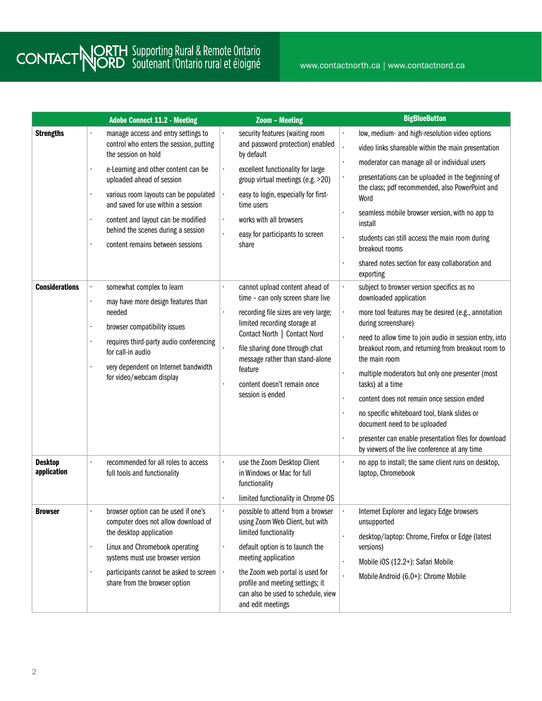www.contactnorth.ca | www.contactnord.ca

|                               |                | <b>Adobe Connect 11.2 - Meeting</b>                                                                                                                                                                                                                                                                                                                                      |                                | <b>Zoom - Meeting</b>                                                                                                                                                                                                                                                                                          | <b>BigBlueButton</b>                                                                                                                                                                                                                                                                                                                                                                                                                                                                                                                                                                                |
|-------------------------------|----------------|--------------------------------------------------------------------------------------------------------------------------------------------------------------------------------------------------------------------------------------------------------------------------------------------------------------------------------------------------------------------------|--------------------------------|----------------------------------------------------------------------------------------------------------------------------------------------------------------------------------------------------------------------------------------------------------------------------------------------------------------|-----------------------------------------------------------------------------------------------------------------------------------------------------------------------------------------------------------------------------------------------------------------------------------------------------------------------------------------------------------------------------------------------------------------------------------------------------------------------------------------------------------------------------------------------------------------------------------------------------|
| <b>Strengths</b>              |                | manage access and entry settings to<br>control who enters the session, putting<br>the session on hold<br>e-Learning and other content can be<br>uploaded ahead of session<br>various room layouts can be populated<br>and saved for use within a session<br>content and layout can be modified<br>behind the scenes during a session<br>content remains between sessions | ٠<br>$\blacksquare$<br>٠<br>¥, | security features (waiting room<br>and password protection) enabled<br>by default<br>excellent functionality for large<br>group virtual meetings (e.g. >20)<br>easy to login, especially for first-<br>time users<br>works with all browsers<br>easy for participants to screen<br>share                       | low, medium- and high-resolution video options<br>video links shareable within the main presentation<br>moderator can manage all or individual users<br>presentations can be uploaded in the beginning of<br>the class; pdf recommended, also PowerPoint and<br>Word<br>seamless mobile browser version, with no app to<br>install<br>students can still access the main room during<br>breakout rooms<br>shared notes section for easy collaboration and<br>exporting                                                                                                                              |
| <b>Considerations</b>         |                | somewhat complex to learn<br>may have more design features than<br>needed<br>browser compatibility issues<br>requires third-party audio conferencing<br>for call-in audio<br>very dependent on Internet bandwidth<br>for video/webcam display                                                                                                                            | ò.<br>٠                        | cannot upload content ahead of<br>time - can only screen share live<br>recording file sizes are very large;<br>limited recording storage at<br>Contact North   Contact Nord<br>file sharing done through chat<br>message rather than stand-alone<br>feature<br>content doesn't remain once<br>session is ended | subject to browser version specifics as no<br>downloaded application<br>more tool features may be desired (e.g., annotation<br>during screenshare)<br>need to allow time to join audio in session entry, into<br>breakout room, and returning from breakout room to<br>the main room<br>multiple moderators but only one presenter (most<br>tasks) at a time<br>content does not remain once session ended<br>no specific whiteboard tool, blank slides or<br>document need to be uploaded<br>presenter can enable presentation files for download<br>by viewers of the live conference at any time |
| <b>Desktop</b><br>application |                | recommended for all roles to access<br>full tools and functionality                                                                                                                                                                                                                                                                                                      |                                | use the Zoom Desktop Client<br>in Windows or Mac for full<br>functionality<br>limited functionality in Chrome OS                                                                                                                                                                                               | no app to install; the same client runs on desktop,<br>laptop, Chromebook                                                                                                                                                                                                                                                                                                                                                                                                                                                                                                                           |
| <b>Browser</b>                | $\blacksquare$ | browser option can be used if one's<br>computer does not allow download of<br>the desktop application<br>Linux and Chromebook operating<br>systems must use browser version<br>participants cannot be asked to screen<br>share from the browser option                                                                                                                   | ٠<br>٠                         | possible to attend from a browser<br>using Zoom Web Client, but with<br>limited functionality<br>default option is to launch the<br>meeting application<br>the Zoom web portal is used for<br>profile and meeting settings; it<br>can also be used to schedule, view<br>and edit meetings                      | Internet Explorer and legacy Edge browsers<br>unsupported<br>desktop/laptop: Chrome, Firefox or Edge (latest<br>versions)<br>Mobile iOS (12.2+): Safari Mobile<br>Mobile Android (6.0+): Chrome Mobile                                                                                                                                                                                                                                                                                                                                                                                              |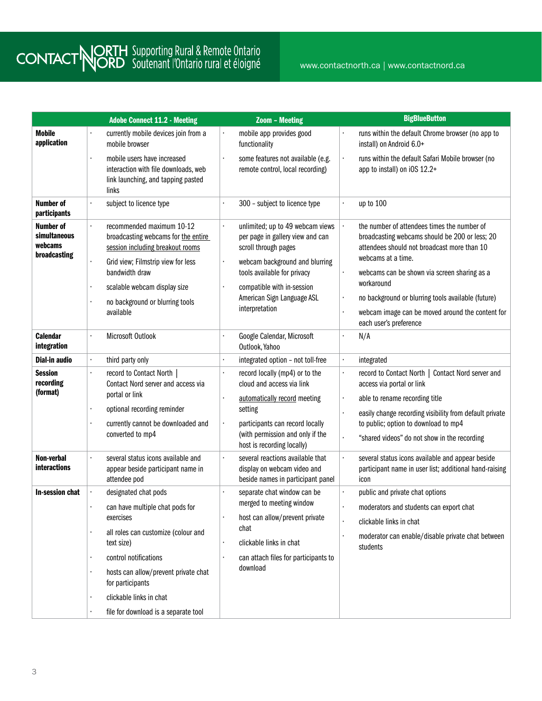|                                                             |                | <b>Adobe Connect 11.2 - Meeting</b>                                                                                                                                                                                                          |                | <b>Zoom - Meeting</b>                                                                                                                                                                                                                       | <b>BigBlueButton</b>                                                                                                                                                                                                                                                                                                                                                 |
|-------------------------------------------------------------|----------------|----------------------------------------------------------------------------------------------------------------------------------------------------------------------------------------------------------------------------------------------|----------------|---------------------------------------------------------------------------------------------------------------------------------------------------------------------------------------------------------------------------------------------|----------------------------------------------------------------------------------------------------------------------------------------------------------------------------------------------------------------------------------------------------------------------------------------------------------------------------------------------------------------------|
| <b>Mobile</b><br>application                                |                | currently mobile devices join from a<br>mobile browser                                                                                                                                                                                       |                | mobile app provides good<br>functionality                                                                                                                                                                                                   | runs within the default Chrome browser (no app to<br>install) on Android 6.0+                                                                                                                                                                                                                                                                                        |
|                                                             |                | mobile users have increased<br>interaction with file downloads, web<br>link launching, and tapping pasted<br>links                                                                                                                           | ٠              | some features not available (e.g.<br>remote control, local recording)                                                                                                                                                                       | runs within the default Safari Mobile browser (no<br>app to install) on iOS 12.2+                                                                                                                                                                                                                                                                                    |
| <b>Number of</b><br>participants                            |                | subject to licence type                                                                                                                                                                                                                      | ×.             | 300 - subject to licence type                                                                                                                                                                                                               | up to 100                                                                                                                                                                                                                                                                                                                                                            |
| <b>Number of</b><br>simultaneous<br>webcams<br>broadcasting | $\cdot$        | recommended maximum 10-12<br>broadcasting webcams for the entire<br>session including breakout rooms<br>Grid view; Filmstrip view for less<br>bandwidth draw<br>scalable webcam display size<br>no background or blurring tools<br>available | ¥.<br>×,<br>ò. | unlimited; up to 49 webcam views<br>per page in gallery view and can<br>scroll through pages<br>webcam background and blurring<br>tools available for privacy<br>compatible with in-session<br>American Sign Language ASL<br>interpretation | the number of attendees times the number of<br>broadcasting webcams should be 200 or less; 20<br>attendees should not broadcast more than 10<br>webcams at a time.<br>webcams can be shown via screen sharing as a<br>workaround<br>no background or blurring tools available (future)<br>webcam image can be moved around the content for<br>each user's preference |
| <b>Calendar</b><br>integration                              |                | Microsoft Outlook                                                                                                                                                                                                                            | ä,             | Google Calendar, Microsoft<br>Outlook, Yahoo                                                                                                                                                                                                | N/A                                                                                                                                                                                                                                                                                                                                                                  |
| <b>Dial-in audio</b>                                        | à.             | third party only                                                                                                                                                                                                                             | $\blacksquare$ | integrated option - not toll-free                                                                                                                                                                                                           | integrated                                                                                                                                                                                                                                                                                                                                                           |
| <b>Session</b><br>recording<br>(format)                     | $\blacksquare$ | record to Contact North<br>Contact Nord server and access via<br>portal or link<br>optional recording reminder<br>currently cannot be downloaded and<br>converted to mp4                                                                     | ä,<br>ò.<br>٠  | record locally (mp4) or to the<br>cloud and access via link<br>automatically record meeting<br>setting<br>participants can record locally<br>(with permission and only if the                                                               | record to Contact North   Contact Nord server and<br>access via portal or link<br>able to rename recording title<br>easily change recording visibility from default private<br>to public; option to download to mp4                                                                                                                                                  |
|                                                             |                |                                                                                                                                                                                                                                              |                | host is recording locally)                                                                                                                                                                                                                  | "shared videos" do not show in the recording                                                                                                                                                                                                                                                                                                                         |
| Non-verbal<br><b>interactions</b>                           |                | several status icons available and<br>appear beside participant name in<br>attendee pod                                                                                                                                                      | ¥,             | several reactions available that<br>display on webcam video and<br>beside names in participant panel                                                                                                                                        | several status icons available and appear beside<br>participant name in user list; additional hand-raising<br>icon                                                                                                                                                                                                                                                   |
| In-session chat                                             | $\blacksquare$ | designated chat pods<br>can have multiple chat pods for<br>exercises<br>all roles can customize (colour and<br>text size)<br>control notifications<br>hosts can allow/prevent private chat<br>for participants                               |                | separate chat window can be<br>merged to meeting window<br>host can allow/prevent private<br>chat<br>clickable links in chat<br>can attach files for participants to<br>download                                                            | public and private chat options<br>moderators and students can export chat<br>clickable links in chat<br>moderator can enable/disable private chat between<br>students                                                                                                                                                                                               |
|                                                             |                | clickable links in chat<br>file for download is a separate tool                                                                                                                                                                              |                |                                                                                                                                                                                                                                             |                                                                                                                                                                                                                                                                                                                                                                      |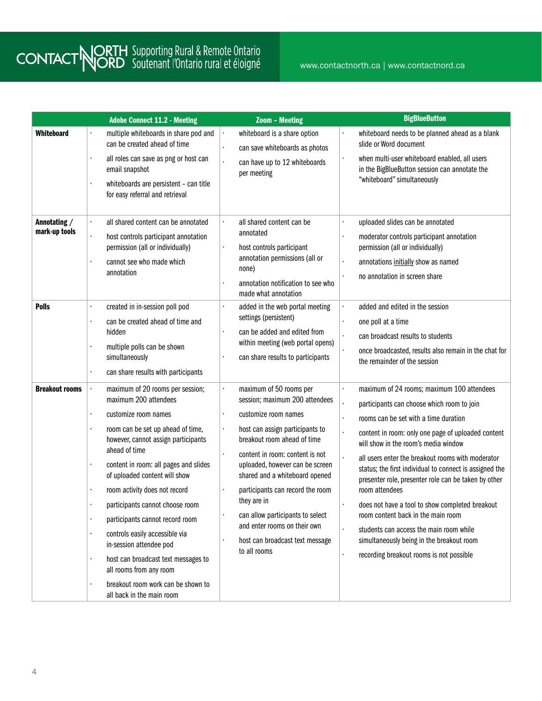|                               | <b>Adobe Connect 11.2 - Meeting</b>                                                                                                                                                                                                                                                                                                                                                                                                                                                                                                                                                                                     | <b>Zoom - Meeting</b>                                                                                                                                                                                                                                                                                                                                                                                                                                         | <b>BigBlueButton</b>                                                                                                                                                                                                                                                                                                                                                                                                                                                                                                                                                                                                                                                     |
|-------------------------------|-------------------------------------------------------------------------------------------------------------------------------------------------------------------------------------------------------------------------------------------------------------------------------------------------------------------------------------------------------------------------------------------------------------------------------------------------------------------------------------------------------------------------------------------------------------------------------------------------------------------------|---------------------------------------------------------------------------------------------------------------------------------------------------------------------------------------------------------------------------------------------------------------------------------------------------------------------------------------------------------------------------------------------------------------------------------------------------------------|--------------------------------------------------------------------------------------------------------------------------------------------------------------------------------------------------------------------------------------------------------------------------------------------------------------------------------------------------------------------------------------------------------------------------------------------------------------------------------------------------------------------------------------------------------------------------------------------------------------------------------------------------------------------------|
| <b>Whiteboard</b>             | multiple whiteboards in share pod and<br>can be created ahead of time<br>all roles can save as png or host can<br>×,<br>email snapshot<br>whiteboards are persistent - can title<br>for easy referral and retrieval                                                                                                                                                                                                                                                                                                                                                                                                     | whiteboard is a share option<br>¥,<br>ä,<br>can save whiteboards as photos<br>can have up to 12 whiteboards<br>ä,<br>per meeting                                                                                                                                                                                                                                                                                                                              | whiteboard needs to be planned ahead as a blank<br>slide or Word document<br>when multi-user whiteboard enabled, all users<br>in the BigBlueButton session can annotate the<br>"whiteboard" simultaneously                                                                                                                                                                                                                                                                                                                                                                                                                                                               |
| Annotating /<br>mark-up tools | all shared content can be annotated<br>$\ddot{\phantom{a}}$<br>host controls participant annotation<br>$\blacksquare$<br>permission (all or individually)<br>cannot see who made which<br>annotation                                                                                                                                                                                                                                                                                                                                                                                                                    | all shared content can be<br>¥,<br>annotated<br>host controls participant<br>×,<br>annotation permissions (all or<br>none)<br>annotation notification to see who<br>made what annotation                                                                                                                                                                                                                                                                      | uploaded slides can be annotated<br>moderator controls participant annotation<br>permission (all or individually)<br>annotations initially show as named<br>no annotation in screen share                                                                                                                                                                                                                                                                                                                                                                                                                                                                                |
| <b>Polls</b>                  | created in in-session poll pod<br>can be created ahead of time and<br>hidden<br>multiple polls can be shown<br>simultaneously<br>can share results with participants                                                                                                                                                                                                                                                                                                                                                                                                                                                    | added in the web portal meeting<br>$\blacksquare$<br>settings (persistent)<br>can be added and edited from<br>within meeting (web portal opens)<br>can share results to participants<br>ò.                                                                                                                                                                                                                                                                    | added and edited in the session<br>one poll at a time<br>can broadcast results to students<br>once broadcasted, results also remain in the chat for<br>the remainder of the session                                                                                                                                                                                                                                                                                                                                                                                                                                                                                      |
| <b>Breakout rooms</b>         | maximum of 20 rooms per session;<br>maximum 200 attendees<br>customize room names<br>$\blacksquare$<br>room can be set up ahead of time,<br>however, cannot assign participants<br>ahead of time<br>content in room: all pages and slides<br>$\blacksquare$<br>of uploaded content will show<br>room activity does not record<br>participants cannot choose room<br>participants cannot record room<br>controls easily accessible via<br>in-session attendee pod<br>host can broadcast text messages to<br>$\blacksquare$<br>all rooms from any room<br>breakout room work can be shown to<br>all back in the main room | ¥,<br>maximum of 50 rooms per<br>session; maximum 200 attendees<br>customize room names<br>ò.<br>host can assign participants to<br>×,<br>breakout room ahead of time<br>content in room: content is not<br>¥,<br>uploaded, however can be screen<br>shared and a whiteboard opened<br>participants can record the room<br>they are in<br>can allow participants to select<br>and enter rooms on their own<br>host can broadcast text message<br>to all rooms | maximum of 24 rooms; maximum 100 attendees<br>$\blacksquare$<br>participants can choose which room to join<br>rooms can be set with a time duration<br>content in room: only one page of uploaded content<br>will show in the room's media window<br>all users enter the breakout rooms with moderator<br>status; the first individual to connect is assigned the<br>presenter role, presenter role can be taken by other<br>room attendees<br>does not have a tool to show completed breakout<br>room content back in the main room<br>students can access the main room while<br>simultaneously being in the breakout room<br>recording breakout rooms is not possible |